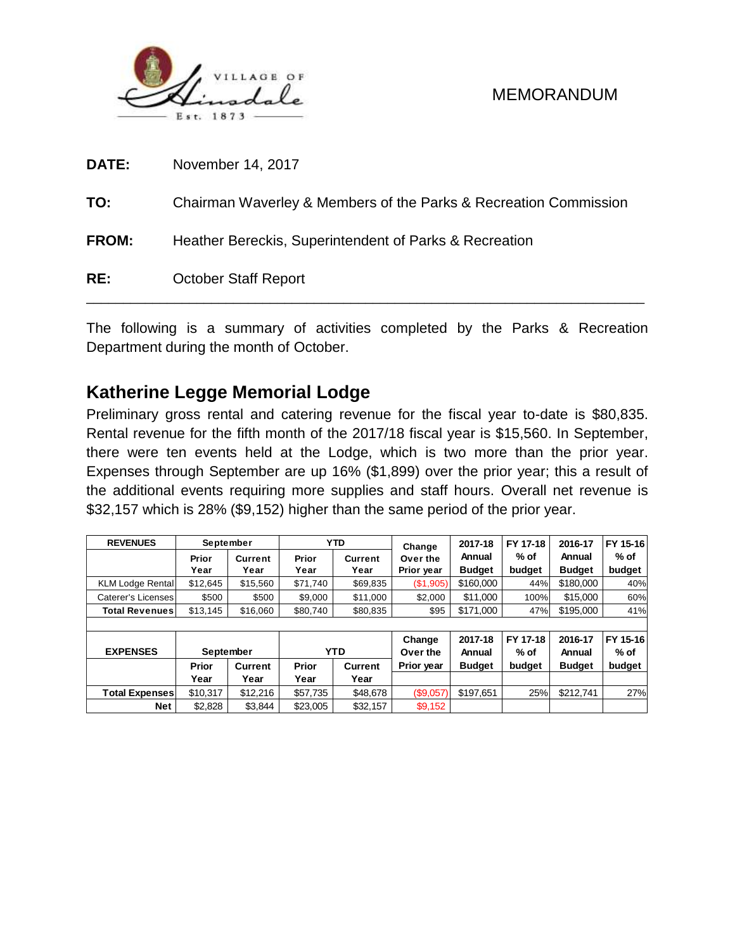

| <b>DATE:</b> | November 14, 2017                                                |
|--------------|------------------------------------------------------------------|
| TO:          | Chairman Waverley & Members of the Parks & Recreation Commission |
| <b>FROM:</b> | Heather Bereckis, Superintendent of Parks & Recreation           |
| RE:          | <b>October Staff Report</b>                                      |

The following is a summary of activities completed by the Parks & Recreation Department during the month of October.

# **Katherine Legge Memorial Lodge**

Preliminary gross rental and catering revenue for the fiscal year to-date is \$80,835. Rental revenue for the fifth month of the 2017/18 fiscal year is \$15,560. In September, there were ten events held at the Lodge, which is two more than the prior year. Expenses through September are up 16% (\$1,899) over the prior year; this a result of the additional events requiring more supplies and staff hours. Overall net revenue is \$32,157 which is 28% (\$9,152) higher than the same period of the prior year.

| <b>REVENUES</b>         | <b>September</b> |                |                      | <b>YTD</b>     | Change     | 2017-18       | FY 17-18 | 2016-17       | FY 15-16 |
|-------------------------|------------------|----------------|----------------------|----------------|------------|---------------|----------|---------------|----------|
|                         | Prior            | <b>Current</b> | Prior                | <b>Current</b> | Over the   | Annual        | % of     | Annual        | % of     |
|                         | Year             | Year           | Year                 | Year           | Prior year | <b>Budget</b> | budget   | <b>Budget</b> | budget   |
| <b>KLM Lodge Rental</b> | \$12.645         | \$15,560       | \$71.740<br>\$69,835 |                | (\$1,905)  | \$160,000     | 44%      | \$180,000     | 40%      |
| Caterer's Licenses      | \$500            | \$500          | \$9,000<br>\$11,000  |                | \$2,000    | \$11,000      | 100%     | \$15,000      | 60%      |
| <b>Total Revenues</b>   | \$13.145         | \$16,060       | \$80,740<br>\$80,835 |                | \$95       | \$171,000     | 47%      | \$195,000     | 41%      |
|                         |                  |                |                      |                |            |               |          |               |          |
|                         |                  |                |                      |                | Change     | 2017-18       | FY 17-18 | 2016-17       | FY 15-16 |
| <b>EXPENSES</b>         | September        |                |                      | <b>YTD</b>     |            | Annual        | $%$ of   | Annual        | $%$ of   |
|                         | Prior            | Current        | Prior                | <b>Current</b> | Prior year | <b>Budget</b> | budget   | <b>Budget</b> | budget   |
|                         | Year             | Year           | Year                 | Year           |            |               |          |               |          |
| <b>Total Expenses</b>   | \$10,317         | \$12,216       | \$57,735             | \$48,678       | (\$9,057)  | \$197.651     | 25%      | \$212.741     | 27%      |
| <b>Net</b>              | \$2,828          | \$3,844        | \$23,005             | \$32,157       | \$9,152    |               |          |               |          |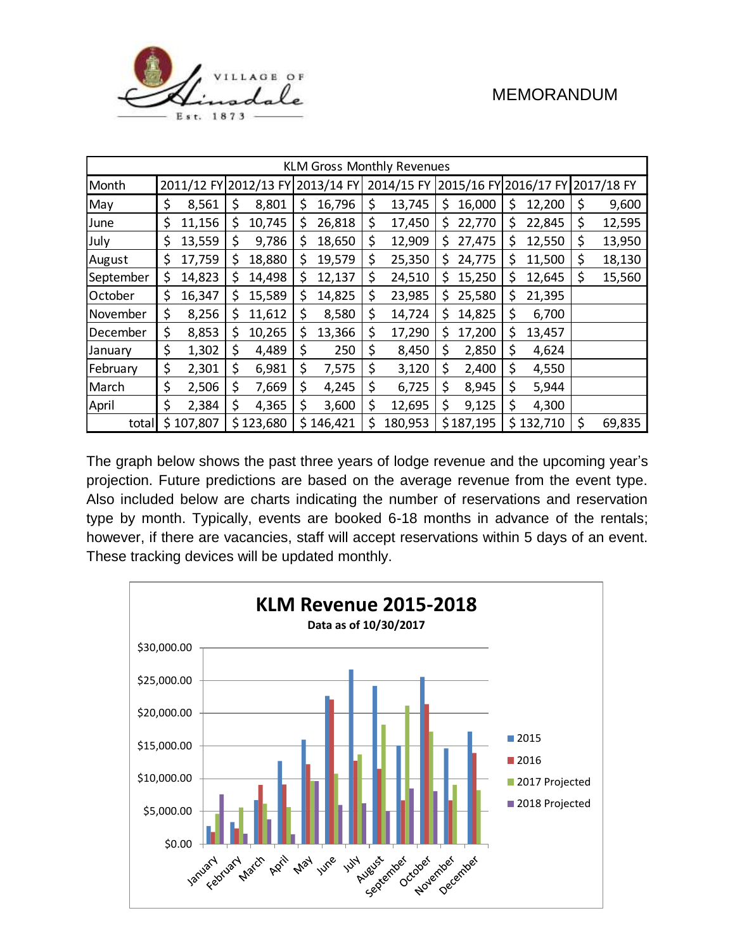

| <b>KLM Gross Monthly Revenues</b> |    |           |    |           |     |                                  |    |         |     |           |    |           |                                             |        |
|-----------------------------------|----|-----------|----|-----------|-----|----------------------------------|----|---------|-----|-----------|----|-----------|---------------------------------------------|--------|
| Month                             |    |           |    |           |     | 2011/12 FY 2012/13 FY 2013/14 FY |    |         |     |           |    |           | 2014/15 FY 2015/16 FY 2016/17 FY 2017/18 FY |        |
| May                               | \$ | 8,561     | \$ | 8,801     | \$  | 16,796                           | \$ | 13,745  | \$  | 16,000    | Ş  | 12,200    | \$                                          | 9,600  |
| June                              | \$ | 11,156    | \$ | 10,745    | \$  | 26,818                           | \$ | 17,450  | S   | 22,770    | \$ | 22,845    | \$                                          | 12,595 |
| July                              | \$ | 13,559    | \$ | 9,786     | \$. | 18,650                           | \$ | 12,909  | \$. | 27,475    | Ş  | 12,550    | \$                                          | 13,950 |
| August                            | \$ | 17,759    | \$ | 18,880    | \$  | 19,579                           | \$ | 25,350  | S   | 24,775    | Ş  | 11,500    | \$                                          | 18,130 |
| September                         | \$ | 14,823    | \$ | 14,498    | \$  | 12,137                           | \$ | 24,510  | \$  | 15,250    | \$ | 12,645    | \$                                          | 15,560 |
| October                           | \$ | 16,347    | \$ | 15,589    | \$  | 14,825                           | \$ | 23,985  | \$  | 25,580    | \$ | 21,395    |                                             |        |
| November                          | \$ | 8,256     | \$ | 11,612    | \$  | 8,580                            | \$ | 14,724  | \$  | 14,825    | \$ | 6,700     |                                             |        |
| December                          | \$ | 8,853     | \$ | 10,265    | \$  | 13,366                           | \$ | 17,290  | Ş   | 17,200    | \$ | 13,457    |                                             |        |
| January                           | \$ | 1,302     | \$ | 4,489     | \$  | 250                              | \$ | 8,450   | \$  | 2,850     | \$ | 4,624     |                                             |        |
| February                          | \$ | 2,301     | \$ | 6,981     | \$  | 7,575                            | \$ | 3,120   | \$  | 2,400     | \$ | 4,550     |                                             |        |
| March                             | \$ | 2,506     | \$ | 7,669     | \$  | 4,245                            | \$ | 6,725   | \$  | 8,945     | \$ | 5,944     |                                             |        |
| April                             | \$ | 2,384     | \$ | 4,365     | \$  | 3,600                            | \$ | 12,695  | \$  | 9,125     | \$ | 4,300     |                                             |        |
| total                             |    | \$107,807 |    | \$123,680 |     | \$146,421                        | \$ | 180,953 |     | \$187,195 |    | \$132,710 | \$                                          | 69,835 |

The graph below shows the past three years of lodge revenue and the upcoming year's projection. Future predictions are based on the average revenue from the event type. Also included below are charts indicating the number of reservations and reservation type by month. Typically, events are booked 6-18 months in advance of the rentals; however, if there are vacancies, staff will accept reservations within 5 days of an event. These tracking devices will be updated monthly.

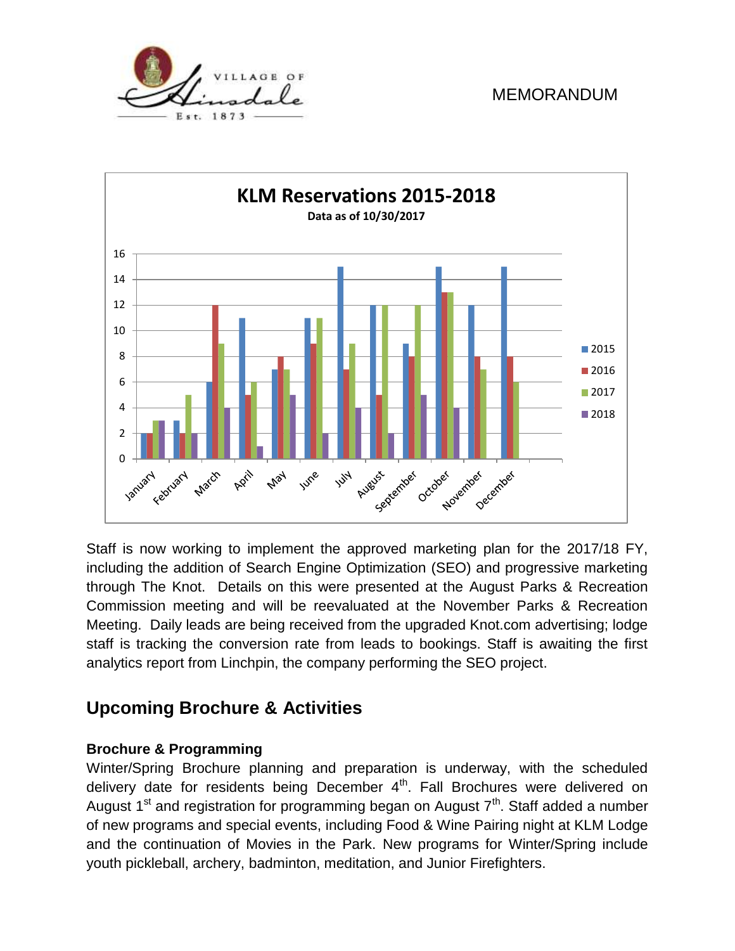



Staff is now working to implement the approved marketing plan for the 2017/18 FY, including the addition of Search Engine Optimization (SEO) and progressive marketing through The Knot. Details on this were presented at the August Parks & Recreation Commission meeting and will be reevaluated at the November Parks & Recreation Meeting. Daily leads are being received from the upgraded Knot.com advertising; lodge staff is tracking the conversion rate from leads to bookings. Staff is awaiting the first analytics report from Linchpin, the company performing the SEO project.

# **Upcoming Brochure & Activities**

### **Brochure & Programming**

Winter/Spring Brochure planning and preparation is underway, with the scheduled delivery date for residents being December 4<sup>th</sup>. Fall Brochures were delivered on August 1<sup>st</sup> and registration for programming began on August 7<sup>th</sup>. Staff added a number of new programs and special events, including Food & Wine Pairing night at KLM Lodge and the continuation of Movies in the Park. New programs for Winter/Spring include youth pickleball, archery, badminton, meditation, and Junior Firefighters.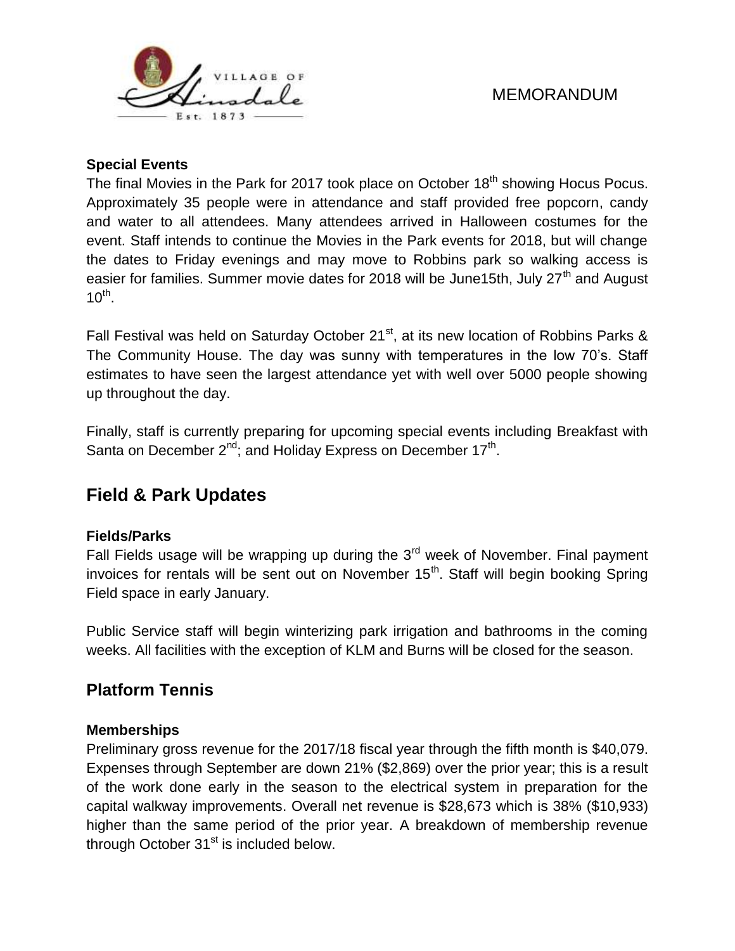

#### **Special Events**

The final Movies in the Park for 2017 took place on October 18<sup>th</sup> showing Hocus Pocus. Approximately 35 people were in attendance and staff provided free popcorn, candy and water to all attendees. Many attendees arrived in Halloween costumes for the event. Staff intends to continue the Movies in the Park events for 2018, but will change the dates to Friday evenings and may move to Robbins park so walking access is easier for families. Summer movie dates for 2018 will be June15th, July 27<sup>th</sup> and August  $10^{\text{th}}$ .

Fall Festival was held on Saturday October 21<sup>st</sup>, at its new location of Robbins Parks & The Community House. The day was sunny with temperatures in the low 70's. Staff estimates to have seen the largest attendance yet with well over 5000 people showing up throughout the day.

Finally, staff is currently preparing for upcoming special events including Breakfast with Santa on December  $2^{nd}$ ; and Holiday Express on December 17<sup>th</sup>.

# **Field & Park Updates**

#### **Fields/Parks**

Fall Fields usage will be wrapping up during the  $3<sup>rd</sup>$  week of November. Final payment invoices for rentals will be sent out on November 15<sup>th</sup>. Staff will begin booking Spring Field space in early January.

Public Service staff will begin winterizing park irrigation and bathrooms in the coming weeks. All facilities with the exception of KLM and Burns will be closed for the season.

### **Platform Tennis**

#### **Memberships**

Preliminary gross revenue for the 2017/18 fiscal year through the fifth month is \$40,079. Expenses through September are down 21% (\$2,869) over the prior year; this is a result of the work done early in the season to the electrical system in preparation for the capital walkway improvements. Overall net revenue is \$28,673 which is 38% (\$10,933) higher than the same period of the prior year. A breakdown of membership revenue through October  $31<sup>st</sup>$  is included below.